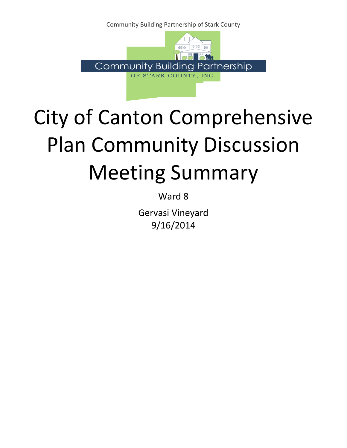Community Building Partnership of Stark County



## City of Canton Comprehensive Plan Community Discussion Meeting Summary

Ward 8

Gervasi Vineyard 9/16/2014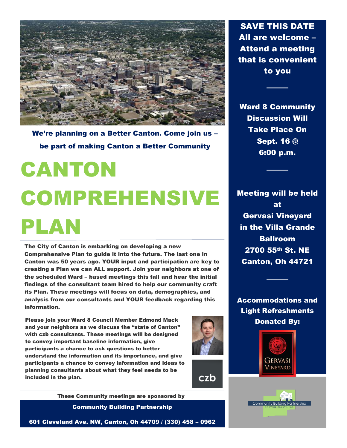

We're planning on a Better Canton. Come join us – be part of making Canton a Better Community

# CANTON COMPREHENSIVE PLAN

The City of Canton is embarking on developing a new Comprehensive Plan to guide it into the future. The last one in Canton was 50 years ago. YOUR input and participation are key to creating a Plan we can ALL support. Join your neighbors at one of the scheduled Ward – based meetings this fall and hear the initial findings of the consultant team hired to help our community craft its Plan. These meetings will focus on data, demographics, and analysis from our consultants and YOUR feedback regarding this information.

Please join your Ward 8 Council Member Edmond Mack and your neighbors as we discuss the "state of Canton" with czb consultants. These meetings will be designed to convey important baseline information, give participants a chance to ask questions to better understand the information and its importance, and give participants a chance to convey information and ideas to planning consultants about what they feel needs to be included in the plan.



czb

These Community meetings are sponsored by

Community Building Partnership

601 Cleveland Ave. NW, Canton, Oh 44709 / (330) 458 – 0962

SAVE THIS DATE All are welcome – Attend a meeting that is convenient to you

Ward 8 Community Discussion Will Take Place On Sept. 16 @ 6:00 p.m.

Meeting will be held at Gervasi Vineyard in the Villa Grande Ballroom 2700 55th St. NE Canton, Oh 44721

Accommodations and Light Refreshments Donated By:



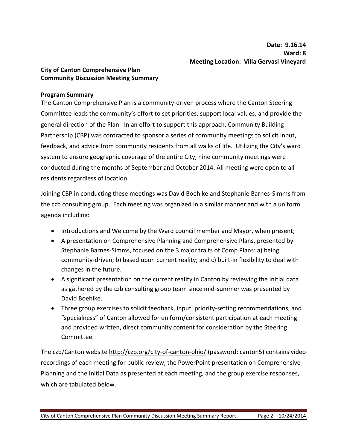### **City of Canton Comprehensive Plan Community Discussion Meeting Summary**

#### **Program Summary**

The Canton Comprehensive Plan is a community-driven process where the Canton Steering Committee leads the community's effort to set priorities, support local values, and provide the general direction of the Plan. In an effort to support this approach, Community Building Partnership (CBP) was contracted to sponsor a series of community meetings to solicit input, feedback, and advice from community residents from all walks of life. Utilizing the City's ward system to ensure geographic coverage of the entire City, nine community meetings were conducted during the months of September and October 2014. All meeting were open to all residents regardless of location.

Joining CBP in conducting these meetings was David Boehlke and Stephanie Barnes-Simms from the czb consulting group. Each meeting was organized in a similar manner and with a uniform agenda including:

- Introductions and Welcome by the Ward council member and Mayor, when present;
- A presentation on Comprehensive Planning and Comprehensive Plans, presented by Stephanie Barnes-Simms, focused on the 3 major traits of Comp Plans: a) being community-driven; b) based upon current reality; and c) built-in flexibility to deal with changes in the future.
- A significant presentation on the current reality in Canton by reviewing the initial data as gathered by the czb consulting group team since mid-summer was presented by David Boehlke.
- Three group exercises to solicit feedback, input, priority-setting recommendations, and "specialness" of Canton allowed for uniform/consistent participation at each meeting and provided written, direct community content for consideration by the Steering Committee.

The czb/Canton website http://czb.org/city-of-canton-ohio/ (password: canton5) contains video recordings of each meeting for public review, the PowerPoint presentation on Comprehensive Planning and the Initial Data as presented at each meeting, and the group exercise responses, which are tabulated below.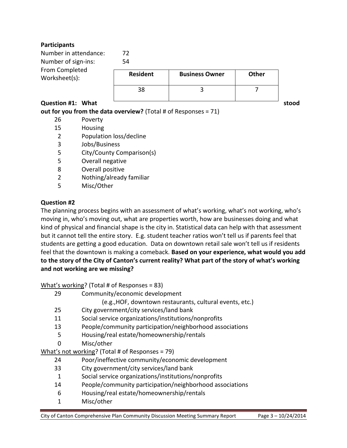## **Participants**

| Number in attendance:<br>Number of sign-ins:<br>From Completed<br>Worksheet(s): | 72<br>54        |                       |              |       |
|---------------------------------------------------------------------------------|-----------------|-----------------------|--------------|-------|
|                                                                                 | <b>Resident</b> | <b>Business Owner</b> | <b>Other</b> |       |
|                                                                                 | 38              |                       |              |       |
| Question #1: What                                                               |                 |                       |              | stood |

## **out for you from the data overview?** (Total # of Responses = 71)

- 26 Poverty
- 15 Housing
- 2 Population loss/decline
- 3 Jobs/Business
- 5 City/County Comparison(s)
- 5 Overall negative
- 8 Overall positive
- 2 Nothing/already familiar
- 5 Misc/Other

#### **Question #2**

The planning process begins with an assessment of what's working, what's not working, who's moving in, who's moving out, what are properties worth, how are businesses doing and what kind of physical and financial shape is the city in. Statistical data can help with that assessment but it cannot tell the entire story. E.g. student teacher ratios won't tell us if parents feel that students are getting a good education. Data on downtown retail sale won't tell us if residents feel that the downtown is making a comeback. **Based on your experience, what would you add to the story of the City of Canton's current reality? What part of the story of what's working and not working are we missing?** 

What's working? (Total # of Responses = 83)

- 29 Community/economic development
	- (e.g.,HOF, downtown restaurants, cultural events, etc.)
- 25 City government/city services/land bank
- 11 Social service organizations/institutions/nonprofits
- 13 People/community participation/neighborhood associations
- 5 Housing/real estate/homeownership/rentals
- 0 Misc/other

What's not working? (Total # of Responses = 79)

- 24 Poor/ineffective community/economic development
- 33 City government/city services/land bank
- 1 Social service organizations/institutions/nonprofits
- 14 People/community participation/neighborhood associations
- 6 Housing/real estate/homeownership/rentals
- 1 Misc/other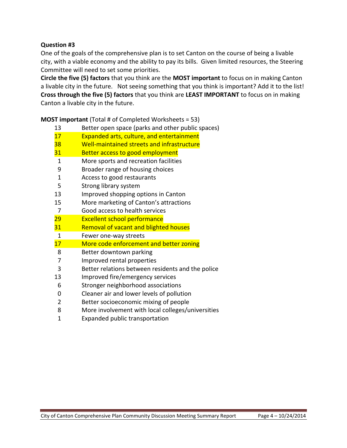## **Question #3**

One of the goals of the comprehensive plan is to set Canton on the course of being a livable city, with a viable economy and the ability to pay its bills. Given limited resources, the Steering Committee will need to set some priorities.

**Circle the five (5) factors** that you think are the **MOST important** to focus on in making Canton a livable city in the future. Not seeing something that you think is important? Add it to the list! **Cross through the five (5) factors** that you think are **LEAST IMPORTANT** to focus on in making Canton a livable city in the future.

| 13           | Better open space (parks and other public spaces) |
|--------------|---------------------------------------------------|
|              |                                                   |
| 17           | Expanded arts, culture, and entertainment         |
| 38           | Well-maintained streets and infrastructure        |
| <u>31</u>    | Better access to good employment                  |
| 1            | More sports and recreation facilities             |
| 9            | Broader range of housing choices                  |
| $\mathbf{1}$ | Access to good restaurants                        |
| 5            | Strong library system                             |
| 13           | Improved shopping options in Canton               |
| 15           | More marketing of Canton's attractions            |
| 7            | Good access to health services                    |
| 29           | <b>Excellent school performance</b>               |
| 31           | <b>Removal of vacant and blighted houses</b>      |
| $\mathbf{1}$ | Fewer one-way streets                             |
| 17           | More code enforcement and better zoning           |
| 8            | Better downtown parking                           |
| 7            | Improved rental properties                        |
| 3            | Better relations between residents and the police |
| 13           | Improved fire/emergency services                  |
| 6            | Stronger neighborhood associations                |
| 0            | Cleaner air and lower levels of pollution         |
| 2            | Better socioeconomic mixing of people             |
| 8            | More involvement with local colleges/universities |

**MOST important** (Total # of Completed Worksheets = 53)

Expanded public transportation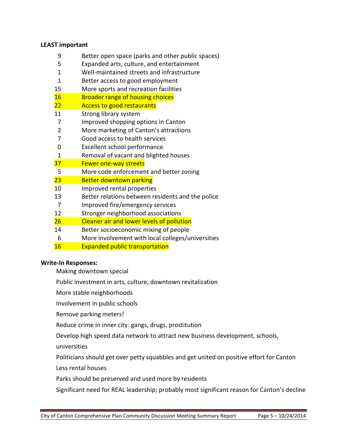#### **LEAST important**

- 9 Better open space (parks and other public spaces)
- 5 Expanded arts, culture, and entertainment
- 1 Well-maintained streets and infrastructure
- 1 Better access to good employment
- 15 More sports and recreation facilities
- 16 Broader range of housing choices
- 22 **Access to good restaurants**
- 11 Strong library system
- 7 Improved shopping options in Canton
- 2 More marketing of Canton's attractions
- 7 Good access to health services
- 0 Excellent school performance
- 1 Removal of vacant and blighted houses
- 37 Fewer one-way streets
- 5 More code enforcement and better zoning
- 23 Better downtown parking
- 10 Improved rental properties
- 13 Better relations between residents and the police
- 7 Improved fire/emergency services
- 12 Stronger neighborhood associations
- 26 Cleaner air and lower levels of pollution
- 14 Better socioeconomic mixing of people
- 6 More involvement with local colleges/universities
- 16 Expanded public transportation

#### **Write-In Responses:**

Making downtown special

- Public investment in arts, culture, downtown revitalization
- More stable neighborhoods
- Involvement in public schools
- Remove parking meters!
- Reduce crime in inner city: gangs, drugs, prostitution
- Develop high speed data network to attract new business development, schools,
- universities
- Politicians should get over petty squabbles and get united on positive effort for Canton
- Less rental houses
- Parks should be preserved and used more by residents

Significant need for REAL leadership; probably most significant reason for Canton's decline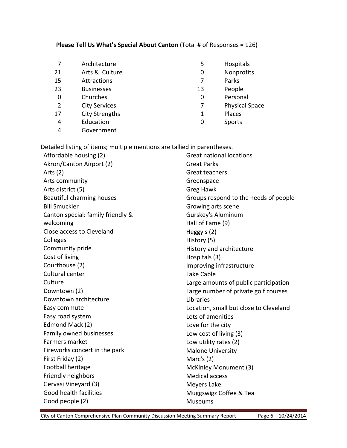## **Please Tell Us What's Special About Canton** (Total # of Responses = 126)

|    | Architecture          | 5  | Hospitals             |
|----|-----------------------|----|-----------------------|
| 21 | Arts & Culture        | 0  | Nonprofits            |
| 15 | Attractions           |    | Parks                 |
| 23 | <b>Businesses</b>     | 13 | People                |
| 0  | Churches              | 0  | Personal              |
| 2  | <b>City Services</b>  | 7  | <b>Physical Space</b> |
| 17 | <b>City Strengths</b> | 1  | Places                |
| 4  | Education             | 0  | Sports                |
| 4  | Government            |    |                       |

Detailed listing of items; multiple mentions are tallied in parentheses.

| Affordable housing (2)            | <b>Great national locations</b>        |
|-----------------------------------|----------------------------------------|
| Akron/Canton Airport (2)          | <b>Great Parks</b>                     |
| Arts $(2)$                        | Great teachers                         |
| Arts community                    | Greenspace                             |
| Arts district (5)                 | <b>Greg Hawk</b>                       |
| Beautiful charming houses         | Groups respond to the needs of people  |
| <b>Bill Smuckler</b>              | Growing arts scene                     |
| Canton special: family friendly & | Gurskey's Aluminum                     |
| welcoming                         | Hall of Fame (9)                       |
| Close access to Cleveland         | Heggy's $(2)$                          |
| Colleges                          | History (5)                            |
| Community pride                   | History and architecture               |
| Cost of living                    | Hospitals (3)                          |
| Courthouse (2)                    | Improving infrastructure               |
| Cultural center                   | Lake Cable                             |
| Culture                           | Large amounts of public participation  |
| Downtown (2)                      | Large number of private golf courses   |
| Downtown architecture             | Libraries                              |
| Easy commute                      | Location, small but close to Cleveland |
| Easy road system                  | Lots of amenities                      |
| Edmond Mack (2)                   | Love for the city                      |
| Family owned businesses           | Low cost of living (3)                 |
| Farmers market                    | Low utility rates (2)                  |
| Fireworks concert in the park     | <b>Malone University</b>               |
| First Friday (2)                  | Marc's $(2)$                           |
| Football heritage                 | McKinley Monument (3)                  |
| Friendly neighbors                | <b>Medical access</b>                  |
| Gervasi Vineyard (3)              | Meyers Lake                            |
| Good health facilities            | Muggswigz Coffee & Tea                 |
| Good people (2)                   | <b>Museums</b>                         |

City of Canton Comprehensive Plan Community Discussion Meeting Summary Report Page 6 – 10/24/2014